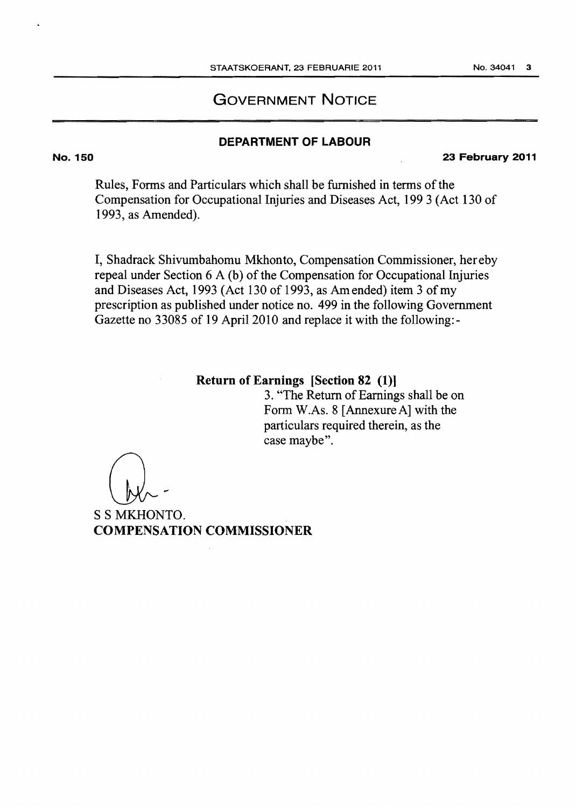# GOVERNMENT NOTICE

# DEPARTMENT OF LABOUR

23 February 2011

Rules, Forms and Particulars which shall be furnished in terms of the Compensation for Occupational Injuries and Diseases Act, 199 3 (Act 130 of 1993, as Amended).

I, Shadrack Shivumbahomu Mkhonto, Compensation Commissioner, hereby repeal under Section 6 A (b) of the Compensation for Occupational Injuries and Diseases Act, 1993 (Act 130 of 1993, as Am ended) item 3 of my prescription as published under notice no. 499 in the following Government Gazette no 33085 of 19 April 2010 and replace it with the following:-

# Return of Earnings [Section 82 (1)]

3. "The Return of Earnings shall be on Form W.As. 8 [ Annexure A] with the particulars required therein, as the case maybe".

S S MKHONTO. COMPENSATION COMMISSIONER

No. 150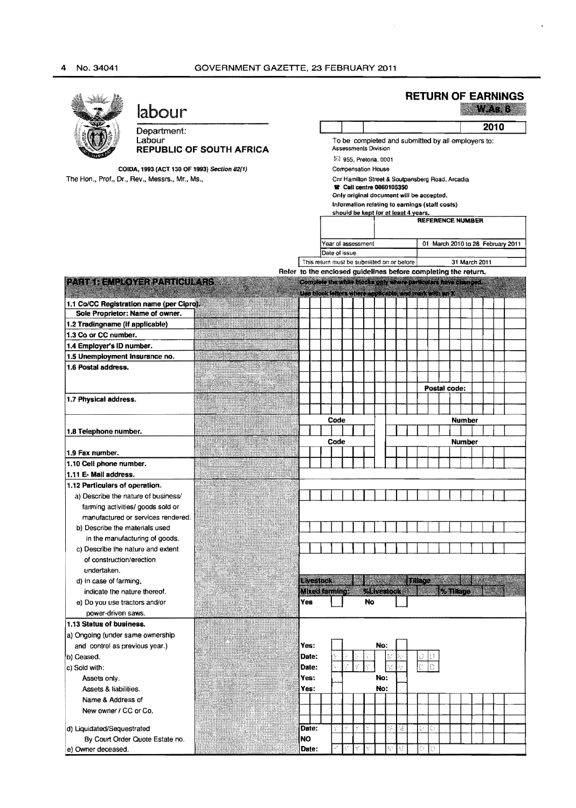# 4 No. 34041 GOVERNMENT GAZETTE, 23 FEBRUARY 2011

|                                                        | labour                                   |                                 |                                                                                            |                                                                                                                                   |      |      |  |     |  |    |        |              |  |                |               |  | <b>RETURN OF EARNINGS</b> |  |
|--------------------------------------------------------|------------------------------------------|---------------------------------|--------------------------------------------------------------------------------------------|-----------------------------------------------------------------------------------------------------------------------------------|------|------|--|-----|--|----|--------|--------------|--|----------------|---------------|--|---------------------------|--|
|                                                        |                                          |                                 |                                                                                            |                                                                                                                                   |      |      |  |     |  |    |        |              |  |                |               |  |                           |  |
|                                                        | Department:<br>Labour                    |                                 |                                                                                            | 2010<br>To be completed and submitted by all employers to:<br>Assessments Division                                                |      |      |  |     |  |    |        |              |  |                |               |  |                           |  |
|                                                        |                                          | <b>REPUBLIC OF SOUTH AFRICA</b> |                                                                                            |                                                                                                                                   |      |      |  |     |  |    |        |              |  |                |               |  |                           |  |
| COIDA, 1993 (ACT 130 OF 1993) Section 82(1)            |                                          |                                 |                                                                                            | 23 955, Pretoria, 0001<br><b>Compensation House</b>                                                                               |      |      |  |     |  |    |        |              |  |                |               |  |                           |  |
| The Hon., Prof., Dr., Rev., Messrs., Mr., Ms.,         |                                          |                                 |                                                                                            | Cnr Hamilton Street & Soutpansberg Road, Arcadia<br><b>R</b> Call centre 0860105350                                               |      |      |  |     |  |    |        |              |  |                |               |  |                           |  |
|                                                        |                                          |                                 |                                                                                            |                                                                                                                                   |      |      |  |     |  |    |        |              |  |                |               |  |                           |  |
|                                                        |                                          |                                 | Only original document will be accepted.<br>Information relating to earnings (staff costs) |                                                                                                                                   |      |      |  |     |  |    |        |              |  |                |               |  |                           |  |
|                                                        |                                          |                                 | should be kept for at least 4 years.<br><b>REFERENCE NUMBER</b>                            |                                                                                                                                   |      |      |  |     |  |    |        |              |  |                |               |  |                           |  |
|                                                        |                                          |                                 |                                                                                            |                                                                                                                                   |      |      |  |     |  |    |        |              |  |                |               |  |                           |  |
|                                                        |                                          |                                 | Year of assessment<br>01 March 2010 to 28 February 2011                                    |                                                                                                                                   |      |      |  |     |  |    |        |              |  |                |               |  |                           |  |
|                                                        |                                          |                                 | Date of issue                                                                              |                                                                                                                                   |      |      |  |     |  |    |        |              |  |                |               |  |                           |  |
|                                                        |                                          |                                 |                                                                                            | This return must be submitted on or before                                                                                        |      |      |  |     |  |    |        |              |  | 31 March 2011  |               |  |                           |  |
| <b>PATE READEVERDANCE ATS</b>                          |                                          |                                 |                                                                                            | Refer to the enclosed guidelines before completing the return.<br>Complete the white blocks only where particulars have clienced. |      |      |  |     |  |    |        |              |  |                |               |  |                           |  |
|                                                        |                                          |                                 |                                                                                            | <u> Bergest Bergster (Bergster Bergster Bergster Bergster Bergster Bergster Bergster Bergster Bergster Bergster B</u>             |      |      |  |     |  |    |        |              |  |                |               |  |                           |  |
|                                                        | 1.1 Co/CC Registration name (per Cipro). |                                 |                                                                                            |                                                                                                                                   |      |      |  |     |  |    |        |              |  |                |               |  |                           |  |
| Sole Proprietor: Name of owner.                        |                                          |                                 |                                                                                            |                                                                                                                                   |      |      |  |     |  |    |        |              |  |                |               |  |                           |  |
| 1.2 Tradingname (if applicable)                        |                                          |                                 |                                                                                            |                                                                                                                                   |      |      |  |     |  |    |        |              |  |                |               |  |                           |  |
| 1.3 Co or CC number.                                   |                                          |                                 |                                                                                            |                                                                                                                                   |      |      |  |     |  |    |        |              |  |                |               |  |                           |  |
| 1.4 Employer's ID number.                              |                                          |                                 |                                                                                            |                                                                                                                                   |      |      |  |     |  |    |        |              |  |                |               |  |                           |  |
| 1.5 Unemployment Insurance no.                         |                                          |                                 |                                                                                            |                                                                                                                                   |      |      |  |     |  |    |        |              |  |                |               |  |                           |  |
| 1.6 Postal address.                                    |                                          |                                 |                                                                                            |                                                                                                                                   |      |      |  |     |  |    |        |              |  |                |               |  |                           |  |
|                                                        |                                          |                                 |                                                                                            |                                                                                                                                   |      |      |  |     |  |    |        |              |  |                |               |  |                           |  |
| 1.7 Physical address.                                  |                                          |                                 |                                                                                            |                                                                                                                                   |      |      |  |     |  |    |        | Postal code: |  |                |               |  |                           |  |
|                                                        |                                          |                                 |                                                                                            |                                                                                                                                   |      |      |  |     |  |    |        |              |  |                |               |  |                           |  |
|                                                        |                                          |                                 |                                                                                            |                                                                                                                                   |      | Code |  |     |  |    |        |              |  | <b>Number</b>  |               |  |                           |  |
| 1.8 Telephone number.                                  |                                          |                                 |                                                                                            |                                                                                                                                   |      |      |  |     |  |    |        |              |  |                |               |  |                           |  |
|                                                        |                                          |                                 |                                                                                            |                                                                                                                                   | Code |      |  |     |  |    |        |              |  |                | <b>Number</b> |  |                           |  |
| 1.9 Fax number.                                        |                                          |                                 |                                                                                            |                                                                                                                                   |      |      |  |     |  |    |        |              |  |                |               |  |                           |  |
| 1.10 Cell phone number.                                |                                          |                                 |                                                                                            |                                                                                                                                   |      |      |  |     |  |    |        |              |  |                |               |  |                           |  |
| 1.11 E- Mail address.                                  |                                          |                                 |                                                                                            |                                                                                                                                   |      |      |  |     |  |    |        |              |  |                |               |  |                           |  |
| 1.12 Particulars of operation.                         |                                          |                                 |                                                                                            |                                                                                                                                   |      |      |  |     |  |    |        |              |  |                |               |  |                           |  |
| a) Describe the nature of business/                    | farming activities/ goods sold or        |                                 |                                                                                            |                                                                                                                                   |      |      |  |     |  |    |        |              |  |                |               |  |                           |  |
|                                                        | manufactured or services rendered.       |                                 |                                                                                            |                                                                                                                                   |      |      |  |     |  |    |        |              |  |                |               |  |                           |  |
| b) Describe the materials used                         |                                          |                                 |                                                                                            |                                                                                                                                   |      |      |  |     |  |    |        |              |  |                |               |  |                           |  |
|                                                        | in the manufacturing of goods.           |                                 |                                                                                            |                                                                                                                                   |      |      |  |     |  |    |        |              |  |                |               |  |                           |  |
| c) Describe the nature and extent                      |                                          |                                 |                                                                                            |                                                                                                                                   |      |      |  |     |  |    |        |              |  |                |               |  |                           |  |
| of construction/erection                               |                                          |                                 |                                                                                            |                                                                                                                                   |      |      |  |     |  |    |        |              |  |                |               |  |                           |  |
| undertaken.                                            |                                          |                                 |                                                                                            |                                                                                                                                   |      |      |  |     |  |    |        |              |  |                |               |  |                           |  |
| d) in case of farming,<br>indicate the nature thereof. |                                          |                                 |                                                                                            | <b>Elvestock</b><br>Mixed farming:                                                                                                |      |      |  |     |  |    | Einste |              |  | <b>Digital</b> |               |  |                           |  |
| e) Do you use tractors and/or                          |                                          |                                 |                                                                                            | Yes                                                                                                                               |      |      |  | No  |  |    |        |              |  |                |               |  |                           |  |
| power-driven saws.                                     |                                          |                                 |                                                                                            |                                                                                                                                   |      |      |  |     |  |    |        |              |  |                |               |  |                           |  |
| 1.13 Status of business.                               |                                          | $\mathbb{R}^2$                  |                                                                                            |                                                                                                                                   |      |      |  |     |  |    |        |              |  |                |               |  |                           |  |
| a) Ongoing (under same ownership                       |                                          |                                 |                                                                                            |                                                                                                                                   |      |      |  |     |  |    |        |              |  |                |               |  |                           |  |
| and control as previous year.)                         |                                          |                                 |                                                                                            | Yes:                                                                                                                              |      |      |  | No: |  |    |        |              |  |                |               |  |                           |  |
| b) Ceased.                                             |                                          |                                 |                                                                                            | Date:                                                                                                                             |      |      |  |     |  |    |        |              |  |                |               |  |                           |  |
| c) Sold with:                                          |                                          |                                 |                                                                                            | Date:                                                                                                                             |      |      |  |     |  |    |        |              |  |                |               |  |                           |  |
| Assets only.                                           |                                          |                                 |                                                                                            | Yes:                                                                                                                              |      |      |  | No: |  |    |        |              |  |                |               |  |                           |  |
| Assets & liabilities.                                  |                                          |                                 |                                                                                            | Yes:                                                                                                                              |      |      |  | No: |  |    |        |              |  |                |               |  |                           |  |
| Name & Address of                                      |                                          |                                 |                                                                                            |                                                                                                                                   |      |      |  |     |  |    |        |              |  |                |               |  |                           |  |
| New owner / CC or Co.                                  |                                          |                                 |                                                                                            |                                                                                                                                   |      |      |  |     |  |    |        |              |  |                |               |  |                           |  |
| d) Liquidated/Sequestrated                             |                                          |                                 |                                                                                            | Date:                                                                                                                             |      |      |  |     |  | V. | U      | o            |  |                |               |  |                           |  |
|                                                        | By Court Order Quote Estate no.          |                                 |                                                                                            | <b>NO</b>                                                                                                                         |      |      |  |     |  |    |        |              |  |                |               |  |                           |  |
| e) Owner deceased.                                     |                                          |                                 |                                                                                            | Date:                                                                                                                             |      |      |  |     |  |    | £.     | O            |  |                |               |  |                           |  |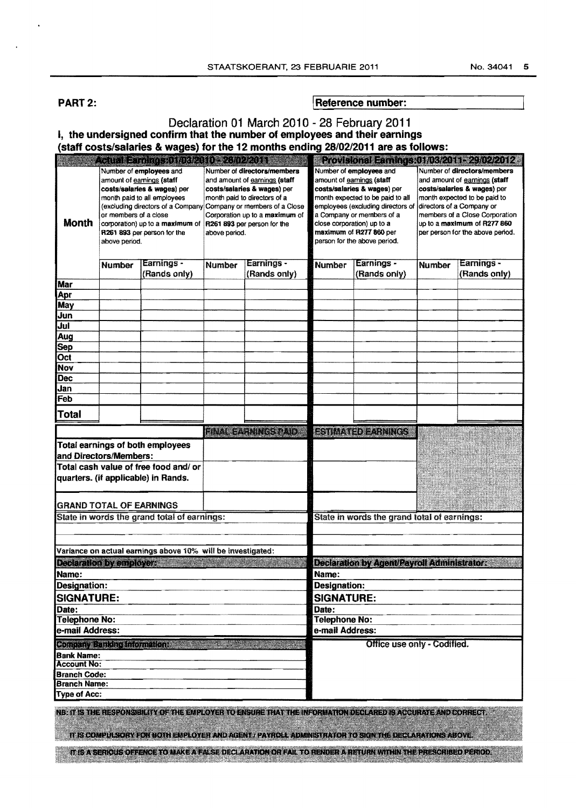PART 2: **I Reference number:** 

| Declaration 01 March 2010 - 28 February 2011<br>I, the undersigned confirm that the number of employees and their earnings |                                                                     |                                                                                                                                                                                                                                                            |                                             |                                                                                                                                                                                              |                                             |                                                                                                                                                                                                                                                      |                                                                                                                                                                                                                                                                                                             |  |  |  |  |  |  |
|----------------------------------------------------------------------------------------------------------------------------|---------------------------------------------------------------------|------------------------------------------------------------------------------------------------------------------------------------------------------------------------------------------------------------------------------------------------------------|---------------------------------------------|----------------------------------------------------------------------------------------------------------------------------------------------------------------------------------------------|---------------------------------------------|------------------------------------------------------------------------------------------------------------------------------------------------------------------------------------------------------------------------------------------------------|-------------------------------------------------------------------------------------------------------------------------------------------------------------------------------------------------------------------------------------------------------------------------------------------------------------|--|--|--|--|--|--|
|                                                                                                                            |                                                                     |                                                                                                                                                                                                                                                            |                                             | (staff costs/salaries & wages) for the 12 months ending 28/02/2011 are as follows:                                                                                                           |                                             |                                                                                                                                                                                                                                                      |                                                                                                                                                                                                                                                                                                             |  |  |  |  |  |  |
|                                                                                                                            |                                                                     |                                                                                                                                                                                                                                                            |                                             |                                                                                                                                                                                              |                                             |                                                                                                                                                                                                                                                      |                                                                                                                                                                                                                                                                                                             |  |  |  |  |  |  |
| <b>Month</b>                                                                                                               | amount of earnings (staff<br>or members of a close<br>above period. | <u>Tennis samaran sekara</u><br>Number of employees and<br>costs/salaries & wages) per<br>month paid to all employees<br>(excluding directors of a Company Company or members of a Close<br>corporation) up to a maximum of<br>R261 893 per person for the | above period.                               | Number of directors/members<br>and amount of earnings (staff<br>costs/salaries & wages) per<br>month paid to directors of a<br>Corporation up to a maximum of<br>R261 893 per person for the | close corporation) up to a                  | Number of employees and<br>amount of earnings (staff<br>costs/salaries & wages) per<br>month expected to be paid to all<br>employees (excluding directors of<br>a Company or members of a<br>maximum of R277 860 per<br>person for the above period. | Provisional Earnings (1103/2011-29/02/2012<br>Number of directors/members<br>and amount of earnings (staff<br>costs/salaries & wages) per<br>month expected to be paid to<br>directors of a Company or<br>members of a Close Corporation<br>up to a maximum of R277 860<br>per person for the above period. |  |  |  |  |  |  |
|                                                                                                                            | Earnings -<br><b>Number</b><br>(Rands only)                         |                                                                                                                                                                                                                                                            | Earnings -<br><b>Number</b><br>(Rands only) |                                                                                                                                                                                              | <b>Number</b>                               | Earnings -<br>(Rands only)                                                                                                                                                                                                                           | <b>Earnings -</b><br>Number<br>(Rands only)                                                                                                                                                                                                                                                                 |  |  |  |  |  |  |
| Mar                                                                                                                        |                                                                     |                                                                                                                                                                                                                                                            |                                             |                                                                                                                                                                                              |                                             |                                                                                                                                                                                                                                                      |                                                                                                                                                                                                                                                                                                             |  |  |  |  |  |  |
| Apr                                                                                                                        |                                                                     |                                                                                                                                                                                                                                                            |                                             |                                                                                                                                                                                              |                                             |                                                                                                                                                                                                                                                      |                                                                                                                                                                                                                                                                                                             |  |  |  |  |  |  |
| May                                                                                                                        |                                                                     |                                                                                                                                                                                                                                                            |                                             |                                                                                                                                                                                              |                                             |                                                                                                                                                                                                                                                      |                                                                                                                                                                                                                                                                                                             |  |  |  |  |  |  |
| Jun                                                                                                                        |                                                                     |                                                                                                                                                                                                                                                            |                                             |                                                                                                                                                                                              |                                             |                                                                                                                                                                                                                                                      |                                                                                                                                                                                                                                                                                                             |  |  |  |  |  |  |
| Jul<br>Aug                                                                                                                 |                                                                     |                                                                                                                                                                                                                                                            |                                             |                                                                                                                                                                                              |                                             |                                                                                                                                                                                                                                                      |                                                                                                                                                                                                                                                                                                             |  |  |  |  |  |  |
| Sep                                                                                                                        |                                                                     |                                                                                                                                                                                                                                                            |                                             |                                                                                                                                                                                              |                                             |                                                                                                                                                                                                                                                      |                                                                                                                                                                                                                                                                                                             |  |  |  |  |  |  |
| Oct                                                                                                                        |                                                                     |                                                                                                                                                                                                                                                            |                                             |                                                                                                                                                                                              |                                             |                                                                                                                                                                                                                                                      |                                                                                                                                                                                                                                                                                                             |  |  |  |  |  |  |
| Nov                                                                                                                        |                                                                     |                                                                                                                                                                                                                                                            |                                             |                                                                                                                                                                                              |                                             |                                                                                                                                                                                                                                                      |                                                                                                                                                                                                                                                                                                             |  |  |  |  |  |  |
| <b>Dec</b>                                                                                                                 |                                                                     |                                                                                                                                                                                                                                                            |                                             |                                                                                                                                                                                              |                                             |                                                                                                                                                                                                                                                      |                                                                                                                                                                                                                                                                                                             |  |  |  |  |  |  |
| Jan<br>Feb                                                                                                                 |                                                                     |                                                                                                                                                                                                                                                            |                                             |                                                                                                                                                                                              |                                             |                                                                                                                                                                                                                                                      |                                                                                                                                                                                                                                                                                                             |  |  |  |  |  |  |
|                                                                                                                            |                                                                     |                                                                                                                                                                                                                                                            |                                             |                                                                                                                                                                                              |                                             |                                                                                                                                                                                                                                                      |                                                                                                                                                                                                                                                                                                             |  |  |  |  |  |  |
| <b>Total</b>                                                                                                               |                                                                     |                                                                                                                                                                                                                                                            |                                             |                                                                                                                                                                                              |                                             |                                                                                                                                                                                                                                                      |                                                                                                                                                                                                                                                                                                             |  |  |  |  |  |  |
|                                                                                                                            |                                                                     |                                                                                                                                                                                                                                                            | <u>istora a controllato de la controlla</u> |                                                                                                                                                                                              |                                             | <b>ESTIMATED FARMINGS</b>                                                                                                                                                                                                                            |                                                                                                                                                                                                                                                                                                             |  |  |  |  |  |  |
| Total earnings of both employees<br>and Directors/Members:                                                                 |                                                                     |                                                                                                                                                                                                                                                            |                                             |                                                                                                                                                                                              |                                             |                                                                                                                                                                                                                                                      |                                                                                                                                                                                                                                                                                                             |  |  |  |  |  |  |
| Total cash value of free food and/ or                                                                                      |                                                                     |                                                                                                                                                                                                                                                            |                                             |                                                                                                                                                                                              |                                             |                                                                                                                                                                                                                                                      |                                                                                                                                                                                                                                                                                                             |  |  |  |  |  |  |
| quarters. (if applicable) in Rands.                                                                                        |                                                                     |                                                                                                                                                                                                                                                            |                                             |                                                                                                                                                                                              |                                             |                                                                                                                                                                                                                                                      |                                                                                                                                                                                                                                                                                                             |  |  |  |  |  |  |
| <b>GRAND TOTAL OF EARNINGS</b>                                                                                             |                                                                     |                                                                                                                                                                                                                                                            |                                             |                                                                                                                                                                                              |                                             |                                                                                                                                                                                                                                                      |                                                                                                                                                                                                                                                                                                             |  |  |  |  |  |  |
| State in words the grand total of earnings:                                                                                |                                                                     |                                                                                                                                                                                                                                                            |                                             | State in words the grand total of earnings:                                                                                                                                                  |                                             |                                                                                                                                                                                                                                                      |                                                                                                                                                                                                                                                                                                             |  |  |  |  |  |  |
|                                                                                                                            |                                                                     | Variance on actual earnings above 10% will be investigated:                                                                                                                                                                                                |                                             |                                                                                                                                                                                              |                                             |                                                                                                                                                                                                                                                      |                                                                                                                                                                                                                                                                                                             |  |  |  |  |  |  |
| <b>Declaration by employer:</b>                                                                                            |                                                                     |                                                                                                                                                                                                                                                            |                                             |                                                                                                                                                                                              | Declaration by Agent/Payroll Administrator: |                                                                                                                                                                                                                                                      |                                                                                                                                                                                                                                                                                                             |  |  |  |  |  |  |
| Name:                                                                                                                      |                                                                     |                                                                                                                                                                                                                                                            |                                             |                                                                                                                                                                                              | Name:                                       |                                                                                                                                                                                                                                                      |                                                                                                                                                                                                                                                                                                             |  |  |  |  |  |  |
| Designation:                                                                                                               |                                                                     |                                                                                                                                                                                                                                                            |                                             |                                                                                                                                                                                              |                                             | <b>Designation:</b>                                                                                                                                                                                                                                  |                                                                                                                                                                                                                                                                                                             |  |  |  |  |  |  |
| <b>SIGNATURE:</b>                                                                                                          |                                                                     |                                                                                                                                                                                                                                                            |                                             |                                                                                                                                                                                              | <b>SIGNATURE:</b>                           |                                                                                                                                                                                                                                                      |                                                                                                                                                                                                                                                                                                             |  |  |  |  |  |  |
| Date:                                                                                                                      |                                                                     |                                                                                                                                                                                                                                                            |                                             |                                                                                                                                                                                              | Date:                                       |                                                                                                                                                                                                                                                      |                                                                                                                                                                                                                                                                                                             |  |  |  |  |  |  |
| <b>Telephone No:</b>                                                                                                       |                                                                     |                                                                                                                                                                                                                                                            |                                             |                                                                                                                                                                                              |                                             | <b>Telephone No:</b><br>e-mail Address:                                                                                                                                                                                                              |                                                                                                                                                                                                                                                                                                             |  |  |  |  |  |  |
| e-mail Address:                                                                                                            |                                                                     |                                                                                                                                                                                                                                                            |                                             |                                                                                                                                                                                              |                                             |                                                                                                                                                                                                                                                      |                                                                                                                                                                                                                                                                                                             |  |  |  |  |  |  |
| Military Chinage Indiana<br><b>Bank Name:</b>                                                                              |                                                                     |                                                                                                                                                                                                                                                            |                                             |                                                                                                                                                                                              |                                             | Office use only - Codified.                                                                                                                                                                                                                          |                                                                                                                                                                                                                                                                                                             |  |  |  |  |  |  |
| <b>Account No:</b>                                                                                                         |                                                                     |                                                                                                                                                                                                                                                            |                                             |                                                                                                                                                                                              |                                             |                                                                                                                                                                                                                                                      |                                                                                                                                                                                                                                                                                                             |  |  |  |  |  |  |
| <b>Branch Code:</b>                                                                                                        |                                                                     |                                                                                                                                                                                                                                                            |                                             |                                                                                                                                                                                              |                                             |                                                                                                                                                                                                                                                      |                                                                                                                                                                                                                                                                                                             |  |  |  |  |  |  |
| <b>Branch Name:</b>                                                                                                        |                                                                     |                                                                                                                                                                                                                                                            |                                             |                                                                                                                                                                                              |                                             |                                                                                                                                                                                                                                                      |                                                                                                                                                                                                                                                                                                             |  |  |  |  |  |  |
| <b>Type of Acc:</b>                                                                                                        |                                                                     |                                                                                                                                                                                                                                                            |                                             |                                                                                                                                                                                              |                                             |                                                                                                                                                                                                                                                      |                                                                                                                                                                                                                                                                                                             |  |  |  |  |  |  |
|                                                                                                                            |                                                                     |                                                                                                                                                                                                                                                            |                                             | nex termes de nese exonsibility of the employer to ensure that the information degisared is accurate and correct                                                                             |                                             |                                                                                                                                                                                                                                                      |                                                                                                                                                                                                                                                                                                             |  |  |  |  |  |  |

#### TI IS COMPULSORY FOR BOTH ENPLOYER AND AGENT / PAYROLL ADMINISTRATOR TO SIGN THE DECLARATIONS ABOVE

IT IS A SERIOUS OFFENCE TO MAKE A FALSE DECLARATION OR FAIL TO RENDER A RETURN WITHIN THE PRESCRIBED PERIOD.